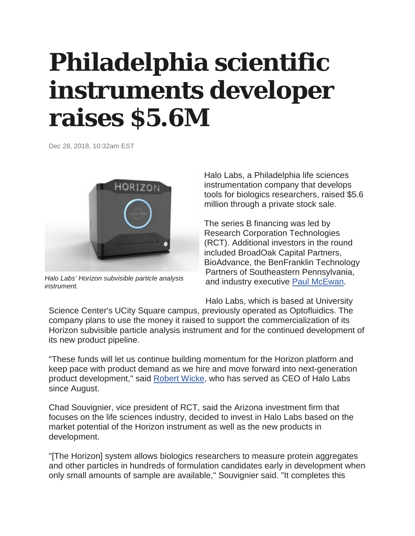## **Philadelphia scientific instruments developer raises \$5.6M**

Dec 28, 2018, 10:32am EST



*Halo Labs' Horizon subvisible particle analysis instrument.*

Halo Labs, a Philadelphia life sciences instrumentation company that develops tools for biologics researchers, raised \$5.6 million through a private stock sale.

The series B financing was led by Research Corporation Technologies (RCT). Additional investors in the round included BroadOak Capital Partners, BioAdvance, the BenFranklin Technology Partners of Southeastern Pennsylvania, and industry executive **[Paul McEwan.](https://www.bizjournals.com/philadelphia/search/results?q=Paul%20McEwan)** 

Halo Labs, which is based at University

Science Center's UCity Square campus, previously operated as Optofluidics. The company plans to use the money it raised to support the commercialization of its Horizon subvisible particle analysis instrument and for the continued development of its new product pipeline.

"These funds will let us continue building momentum for the Horizon platform and keep pace with product demand as we hire and move forward into next-generation product development," said [Robert Wicke,](https://www.bizjournals.com/philadelphia/search/results?q=Robert%20Wicke) who has served as CEO of Halo Labs since August.

Chad Souvignier, vice president of RCT, said the Arizona investment firm that focuses on the life sciences industry, decided to invest in Halo Labs based on the market potential of the Horizon instrument as well as the new products in development.

"[The Horizon] system allows biologics researchers to measure protein aggregates and other particles in hundreds of formulation candidates early in development when only small amounts of sample are available," Souvignier said. "It completes this